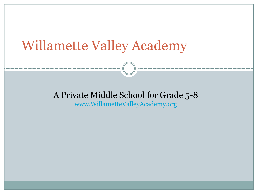## Willamette Valley Academy

#### A Private Middle School for Grade 5-8

[www.WillametteValleyAcademy.org](http://www.willamettevalleyacademy.org/)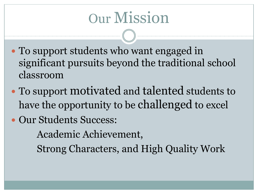# Our Mission

- To support students who want engaged in significant pursuits beyond the traditional school classroom
- To support motivated and talented students to have the opportunity to be challenged to excel
- Our Students Success:

Academic Achievement,

Strong Characters, and High Quality Work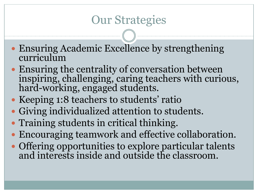## Our Strategies

- Ensuring Academic Excellence by strengthening curriculum
- Ensuring the centrality of conversation between inspiring, challenging, caring teachers with curious, hard-working, engaged students.
- Keeping 1:8 teachers to students' ratio
- Giving individualized attention to students.
- Training students in critical thinking.
- Encouraging teamwork and effective collaboration.
- Offering opportunities to explore particular talents and interests inside and outside the classroom.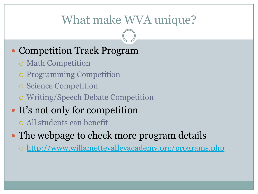## What make WVA unique?

#### Competition Track Program

- Math Competition
- Programming Competition
- o Science Competition
- Writing/Speech Debate Competition

### • It's not only for competition

All students can benefit

- The webpage to check more program details
	- o <http://www.willamettevalleyacademy.org/programs.php>